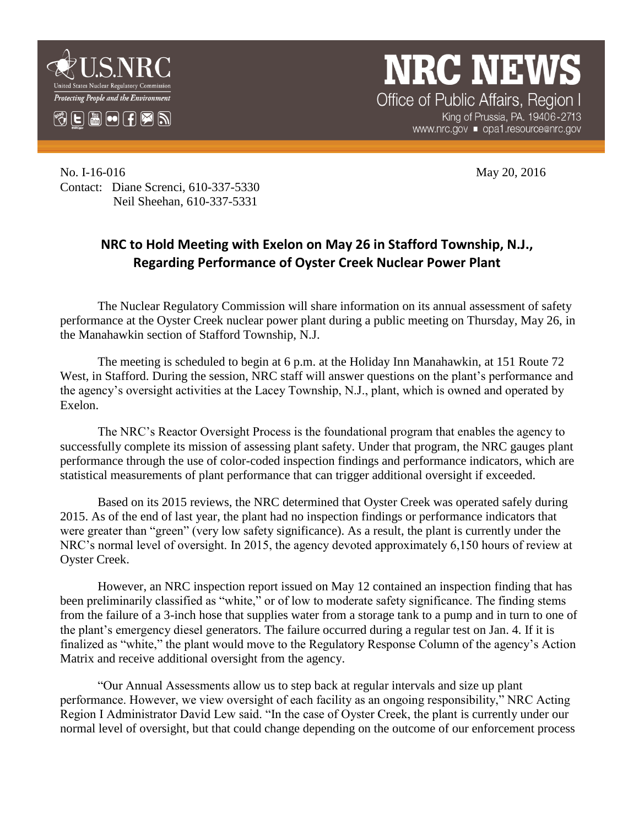

**NRC NEW** Office of Public Affairs, Region I

King of Prussia, PA. 19406-2713 www.nrc.gov ■ opa1.resource@nrc.gov

No. I-16-016 May 20, 2016 Contact: Diane Screnci, 610-337-5330 Neil Sheehan, 610-337-5331

## **NRC to Hold Meeting with Exelon on May 26 in Stafford Township, N.J., Regarding Performance of Oyster Creek Nuclear Power Plant**

The Nuclear Regulatory Commission will share information on its annual assessment of safety performance at the Oyster Creek nuclear power plant during a public meeting on Thursday, May 26, in the Manahawkin section of Stafford Township, N.J.

The meeting is scheduled to begin at 6 p.m. at the Holiday Inn Manahawkin, at 151 Route 72 West, in Stafford. During the session, NRC staff will answer questions on the plant's performance and the agency's oversight activities at the Lacey Township, N.J., plant, which is owned and operated by Exelon.

The NRC's Reactor Oversight Process is the foundational program that enables the agency to successfully complete its mission of assessing plant safety. Under that program, the NRC gauges plant performance through the use of color-coded inspection findings and performance indicators, which are statistical measurements of plant performance that can trigger additional oversight if exceeded.

Based on its 2015 reviews, the NRC determined that Oyster Creek was operated safely during 2015. As of the end of last year, the plant had no inspection findings or performance indicators that were greater than "green" (very low safety significance). As a result, the plant is currently under the NRC's normal level of oversight. In 2015, the agency devoted approximately 6,150 hours of review at Oyster Creek.

However, an NRC inspection report issued on May 12 contained an inspection finding that has been preliminarily classified as "white," or of low to moderate safety significance. The finding stems from the failure of a 3-inch hose that supplies water from a storage tank to a pump and in turn to one of the plant's emergency diesel generators. The failure occurred during a regular test on Jan. 4. If it is finalized as "white," the plant would move to the Regulatory Response Column of the agency's Action Matrix and receive additional oversight from the agency.

"Our Annual Assessments allow us to step back at regular intervals and size up plant performance. However, we view oversight of each facility as an ongoing responsibility," NRC Acting Region I Administrator David Lew said. "In the case of Oyster Creek, the plant is currently under our normal level of oversight, but that could change depending on the outcome of our enforcement process